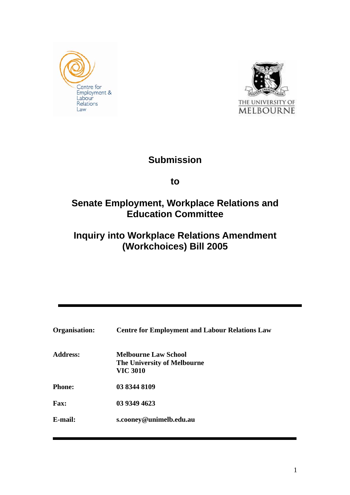



# **Submission**

**to** 

# **Senate Employment, Workplace Relations and Education Committee**

# **Inquiry into Workplace Relations Amendment (Workchoices) Bill 2005**

| <b>Organisation:</b> | <b>Centre for Employment and Labour Relations Law</b>                         |
|----------------------|-------------------------------------------------------------------------------|
| <b>Address:</b>      | <b>Melbourne Law School</b><br>The University of Melbourne<br><b>VIC 3010</b> |
| <b>Phone:</b>        | 03 8344 8109                                                                  |
| Fax:                 | 03 9349 4623                                                                  |
| E-mail:              | s.cooney@unimelb.edu.au                                                       |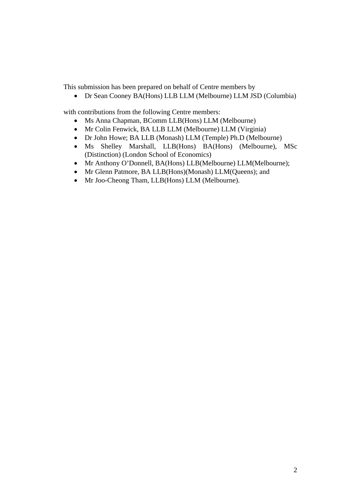This submission has been prepared on behalf of Centre members by

• Dr Sean Cooney BA(Hons) LLB LLM (Melbourne) LLM JSD (Columbia)

with contributions from the following Centre members:

- Ms Anna Chapman, BComm LLB(Hons) LLM (Melbourne)
- Mr Colin Fenwick, BA LLB LLM (Melbourne) LLM (Virginia)
- Dr John Howe; BA LLB (Monash) LLM (Temple) Ph.D (Melbourne)
- Ms Shelley Marshall, LLB(Hons) BA(Hons) (Melbourne), MSc (Distinction) (London School of Economics)
- Mr Anthony O'Donnell, BA(Hons) LLB(Melbourne) LLM(Melbourne);
- Mr Glenn Patmore, BA LLB(Hons)(Monash) LLM(Queens); and
- Mr Joo-Cheong Tham, LLB(Hons) LLM (Melbourne).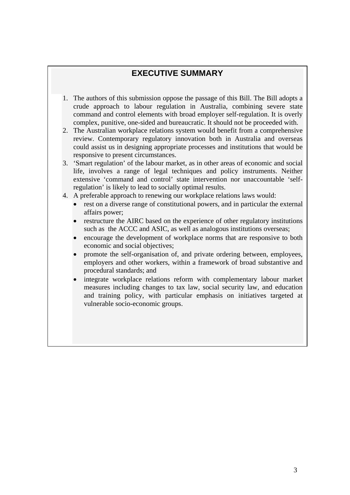# **EXECUTIVE SUMMARY**

- 1. The authors of this submission oppose the passage of this Bill. The Bill adopts a crude approach to labour regulation in Australia, combining severe state command and control elements with broad employer self-regulation. It is overly complex, punitive, one-sided and bureaucratic. It should not be proceeded with.
- 2. The Australian workplace relations system would benefit from a comprehensive review. Contemporary regulatory innovation both in Australia and overseas could assist us in designing appropriate processes and institutions that would be responsive to present circumstances.
- 3. 'Smart regulation' of the labour market, as in other areas of economic and social life, involves a range of legal techniques and policy instruments. Neither extensive 'command and control' state intervention nor unaccountable 'selfregulation' is likely to lead to socially optimal results.
- 4. A preferable approach to renewing our workplace relations laws would:
	- rest on a diverse range of constitutional powers, and in particular the external affairs power;
	- restructure the AIRC based on the experience of other regulatory institutions such as the ACCC and ASIC, as well as analogous institutions overseas;
	- encourage the development of workplace norms that are responsive to both economic and social objectives;
	- promote the self-organisation of, and private ordering between, employees, employers and other workers, within a framework of broad substantive and procedural standards; and
	- integrate workplace relations reform with complementary labour market measures including changes to tax law, social security law, and education and training policy, with particular emphasis on initiatives targeted at vulnerable socio-economic groups.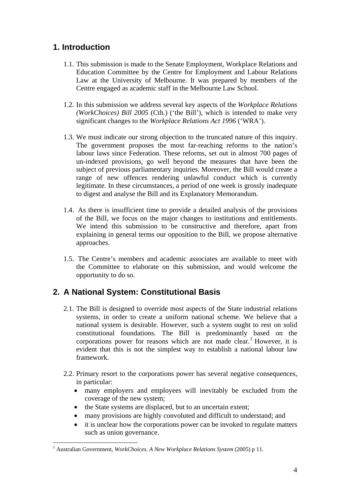# **1. Introduction**

- 1.1. This submission is made to the Senate Employment, Workplace Relations and Education Committee by the Centre for Employment and Labour Relations Law at the University of Melbourne. It was prepared by members of the Centre engaged as academic staff in the Melbourne Law School.
- 1.2. In this submission we address several key aspects of the *Workplace Relations (WorkChoices) Bill 2005* (Cth.) ('the Bill'), which is intended to make very significant changes to the *Workplace Relations Act 1996* ('WRA').
- 1.3. We must indicate our strong objection to the truncated nature of this inquiry. The government proposes the most far-reaching reforms to the nation's labour laws since Federation. These reforms, set out in almost 700 pages of un-indexed provisions, go well beyond the measures that have been the subject of previous parliamentary inquiries. Moreover, the Bill would create a range of new offences rendering unlawful conduct which is currently legitimate. In these circumstances, a period of one week is grossly inadequate to digest and analyse the Bill and its Explanatory Memorandum.
- 1.4. As there is insufficient time to provide a detailed analysis of the provisions of the Bill, we focus on the major changes to institutions and entitlements. We intend this submission to be constructive and therefore, apart from explaining in general terms our opposition to the Bill, we propose alternative approaches.
- 1.5. The Centre's members and academic associates are available to meet with the Committee to elaborate on this submission, and would welcome the opportunity to do so.

# **2. A National System: Constitutional Basis**

- 2.1. The Bill is designed to override most aspects of the State industrial relations systems, in order to create a uniform national scheme. We believe that a national system is desirable. However, such a system ought to rest on solid constitutional foundations. The Bill is predominantly based on the corporations power for reasons which are not made clear.<sup>1</sup> However, it is evident that this is not the simplest way to establish a national labour law framework.
- 2.2. Primary resort to the corporations power has several negative consequences, in particular:
	- many employers and employees will inevitably be excluded from the coverage of the new system;
	- the State systems are displaced, but to an uncertain extent;
	- many provisions are highly convoluted and difficult to understand; and
	- it is unclear how the corporations power can be invoked to regulate matters such as union governance.

<sup>1</sup> Australian Government, *WorkChoices. A New Workplace Relations System* (2005) p 11.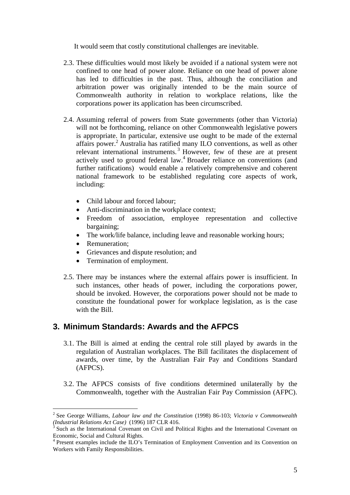It would seem that costly constitutional challenges are inevitable.

- 2.3. These difficulties would most likely be avoided if a national system were not confined to one head of power alone. Reliance on one head of power alone has led to difficulties in the past. Thus, although the conciliation and arbitration power was originally intended to be the main source of Commonwealth authority in relation to workplace relations, like the corporations power its application has been circumscribed.
- 2.4. Assuming referral of powers from State governments (other than Victoria) will not be forthcoming, reliance on other Commonwealth legislative powers is appropriate. In particular, extensive use ought to be made of the external affairs power.<sup>2</sup> Australia has ratified many ILO conventions, as well as other relevant international instruments.<sup>3</sup> However, few of these are at present actively used to ground federal law.<sup>4</sup> Broader reliance on conventions (and further ratifications) would enable a relatively comprehensive and coherent national framework to be established regulating core aspects of work, including:
	- Child labour and forced labour:
	- Anti-discrimination in the workplace context;
	- Freedom of association, employee representation and collective bargaining;
	- The work/life balance, including leave and reasonable working hours;
	- Remuneration;

 $\overline{a}$ 

- Grievances and dispute resolution; and
- Termination of employment.
- 2.5. There may be instances where the external affairs power is insufficient. In such instances, other heads of power, including the corporations power, should be invoked. However, the corporations power should not be made to constitute the foundational power for workplace legislation, as is the case with the Bill.

## **3. Minimum Standards: Awards and the AFPCS**

- 3.1. The Bill is aimed at ending the central role still played by awards in the regulation of Australian workplaces. The Bill facilitates the displacement of awards, over time, by the Australian Fair Pay and Conditions Standard (AFPCS).
- 3.2. The AFPCS consists of five conditions determined unilaterally by the Commonwealth, together with the Australian Fair Pay Commission (AFPC).

<sup>2</sup> See George Williams, *Labour law and the Constitution* (1998) 86-103; *Victoria v Commonwealth (Industrial Relations Act Case)* (1996) 187 CLR 416. 3

Such as the International Covenant on Civil and Political Rights and the International Covenant on Economic, Social and Cultural Rights.

<sup>&</sup>lt;sup>4</sup> Present examples include the ILO's Termination of Employment Convention and its Convention on Workers with Family Responsibilities.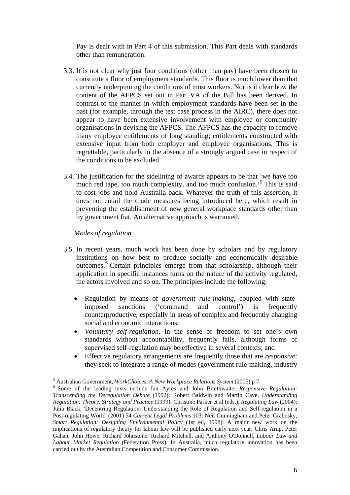Pay is dealt with in Part 4 of this submission. This Part deals with standards other than remuneration.

- 3.3. It is not clear why just four conditions (other than pay) have been chosen to constitute a floor of employment standards. This floor is much lower than that currently underpinning the conditions of most workers. Nor is it clear how the content of the AFPCS set out in Part VA of the Bill has been derived. In contrast to the manner in which employment standards have been set in the past (for example, through the test case process in the AIRC), there does not appear to have been extensive involvement with employee or community organisations in devising the AFPCS. The AFPCS has the capacity to remove many employee entitlements of long standing; entitlements constructed with extensive input from both employer and employee organisations. This is regrettable, particularly in the absence of a strongly argued case in respect of the conditions to be excluded.
- 3.4. The justification for the sidelining of awards appears to be that 'we have too much red tape, too much complexity, and too much confusion.'5 This is said to cost jobs and hold Australia back. Whatever the truth of this assertion, it does not entail the crude measures being introduced here, which result in preventing the establishment of new general workplace standards other than by government fiat. An alternative approach is warranted.

### *Modes of regulation*

- 3.5. In recent years, much work has been done by scholars and by regulatory institutions on how best to produce socially and economically desirable outcomes.<sup>6</sup> Certain principles emerge from that scholarship, although their application in specific instances turns on the nature of the activity regulated, the actors involved and so on. The principles include the following:
	- Regulation by means of *government rule-making*, coupled with stateimposed sanctions ('command and control') is frequently counterproductive, especially in areas of complex and frequently changing social and economic interactions;
	- *Voluntary self-regulation*, in the sense of freedom to set one's own standards without accountability, frequently fails, although forms of supervised self-regulation may be effective in several contexts; and
	- Effective regulatory arrangements are frequently those that are *responsive*: they seek to integrate a range of modes (government rule-making, industry

 5

<sup>&</sup>lt;sup>6</sup> Some of the leading texts include Ian Ayres and John Braithwaite, *Responsive Regulation: Transcending the Deregulation Debate* (1992); Robert Baldwin and Martin Cave, *Understanding Regulation: Theory, Strategy and Practice* (1999); Christine Parker et al (eds.), *Regulating Law* (2004); Julia Black, 'Decentring Regulation: Understanding the Role of Regulation and Self-regulation in a Post-regulating World' (2001) 54 *Current Legal Problems* 103; Neil Gunningham and Peter Grabosky, *Smart Regulation: Designing Environmental Policy* (1st ed, 1998). A major new work on the implications of regulatory theory for labour law will be published early next year: Chris Arup, Peter Gahan, John Howe, Richard Johnstone, Richard Mitchell, and Anthony O'Donnell, *Labour Law and Labour Market Regulation* (Federation Press). In Australia, much regulatory innovation has been carried out by the Australian Competition and Consumer Commission.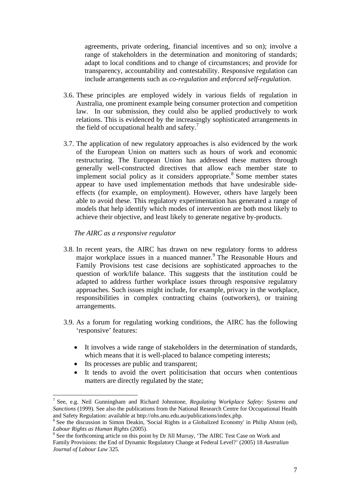agreements, private ordering, financial incentives and so on); involve a range of stakeholders in the determination and monitoring of standards; adapt to local conditions and to change of circumstances; and provide for transparency, accountability and contestability. Responsive regulation can include arrangements such as *co-regulation* and *enforced self-regulation.*

- 3.6. These principles are employed widely in various fields of regulation in Australia, one prominent example being consumer protection and competition law. In our submission, they could also be applied productively to work relations. This is evidenced by the increasingly sophisticated arrangements in the field of occupational health and safety. $\frac{7}{1}$
- 3.7. The application of new regulatory approaches is also evidenced by the work of the European Union on matters such as hours of work and economic restructuring. The European Union has addressed these matters through generally well-constructed directives that allow each member state to implement social policy as it considers appropriate.<sup>8</sup> Some member states appear to have used implementation methods that have undesirable sideeffects (for example, on employment). However, others have largely been able to avoid these. This regulatory experimentation has generated a range of models that help identify which modes of intervention are both most likely to achieve their objective, and least likely to generate negative by-products.

*The AIRC as a responsive regulator* 

- 3.8. In recent years, the AIRC has drawn on new regulatory forms to address major workplace issues in a nuanced manner.<sup>9</sup> The Reasonable Hours and Family Provisions test case decisions are sophisticated approaches to the question of work/life balance. This suggests that the institution could be adapted to address further workplace issues through responsive regulatory approaches. Such issues might include, for example, privacy in the workplace, responsibilities in complex contracting chains (outworkers), or training arrangements.
- 3.9. As a forum for regulating working conditions, the AIRC has the following 'responsive' features:
	- It involves a wide range of stakeholders in the determination of standards, which means that it is well-placed to balance competing interests;
	- Its processes are public and transparent;

 $\overline{a}$ 

• It tends to avoid the overt politicisation that occurs when contentious matters are directly regulated by the state;

<sup>7</sup> See, e.g. Neil Gunningham and Richard Johnstone, *Regulating Workplace Safety: Systems and Sanctions* (1999). See also the publications from the National Research Centre for Occupational Health and Safety Regulation: available at http://ohs.anu.edu.au/publications/index.php.

<sup>&</sup>lt;sup>8</sup> See the discussion in Simon Deakin, 'Social Rights in a Globalized Economy' in Philip Alston (ed), Labour Rights as Human Rights (2005).<br><sup>9</sup> See the forthcoming article on this point by Dr Jill Murray, 'The AIRC Test Case on Work and

Family Provisions: the End of Dynamic Regulatory Change at Federal Level?' (2005) 18 *Australian Journal of Labour Law* 325*.*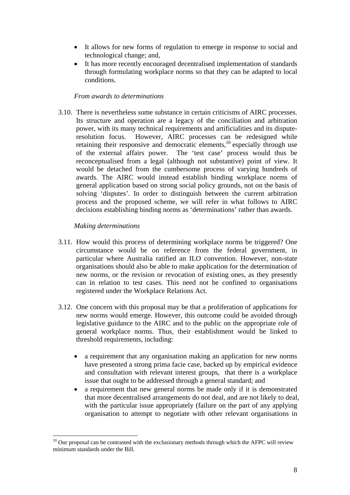- It allows for new forms of regulation to emerge in response to social and technological change; and,
- It has more recently encouraged decentralised implementation of standards through formulating workplace norms so that they can be adapted to local conditions.

### *From awards to determinations*

3.10. There is nevertheless some substance in certain criticisms of AIRC processes. Its structure and operation are a legacy of the conciliation and arbitration power, with its many technical requirements and artificialities and its disputeresolution focus. However, AIRC processes can be redesigned while retaining their responsive and democratic elements,<sup>10</sup> especially through use of the external affairs power. The 'test case' process would thus be reconceptualised from a legal (although not substantive) point of view. It would be detached from the cumbersome process of varying hundreds of awards. The AIRC would instead establish binding workplace norms of general application based on strong social policy grounds, not on the basis of solving 'disputes'. In order to distinguish between the current arbitration process and the proposed scheme, we will refer in what follows to AIRC decisions establishing binding norms as 'determinations' rather than awards.

### *Making determinations*

- 3.11. How would this process of determining workplace norms be triggered? One circumstance would be on reference from the federal government, in particular where Australia ratified an ILO convention. However, non-state organisations should also be able to make application for the determination of new norms, or the revision or revocation of existing ones, as they presently can in relation to test cases. This need not be confined to organisations registered under the Workplace Relations Act.
- 3.12. One concern with this proposal may be that a proliferation of applications for new norms would emerge. However, this outcome could be avoided through legislative guidance to the AIRC and to the public on the appropriate role of general workplace norms. Thus, their establishment would be linked to threshold requirements, including:
	- a requirement that any organisation making an application for new norms have presented a strong prima facie case, backed up by empirical evidence and consultation with relevant interest groups, that there is a workplace issue that ought to be addressed through a general standard; and
	- a requirement that new general norms be made only if it is demonstrated that more decentralised arrangements do not deal, and are not likely to deal, with the particular issue appropriately (failure on the part of any applying organisation to attempt to negotiate with other relevant organisations in

 $10$  Our proposal can be contrasted with the exclusionary methods through which the AFPC will review minimum standards under the Bill.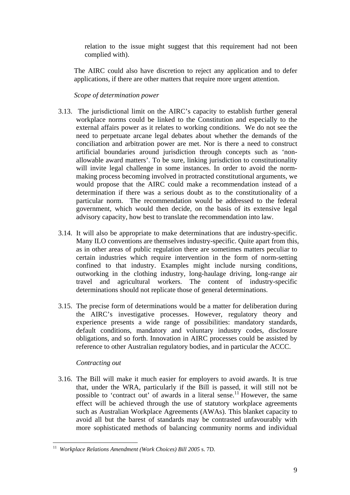relation to the issue might suggest that this requirement had not been complied with).

The AIRC could also have discretion to reject any application and to defer applications, if there are other matters that require more urgent attention.

*Scope of determination power* 

- 3.13. The jurisdictional limit on the AIRC's capacity to establish further general workplace norms could be linked to the Constitution and especially to the external affairs power as it relates to working conditions. We do not see the need to perpetuate arcane legal debates about whether the demands of the conciliation and arbitration power are met. Nor is there a need to construct artificial boundaries around jurisdiction through concepts such as 'nonallowable award matters'. To be sure, linking jurisdiction to constitutionality will invite legal challenge in some instances. In order to avoid the normmaking process becoming involved in protracted constitutional arguments, we would propose that the AIRC could make a recommendation instead of a determination if there was a serious doubt as to the constitutionality of a particular norm. The recommendation would be addressed to the federal government, which would then decide, on the basis of its extensive legal advisory capacity, how best to translate the recommendation into law.
- 3.14. It will also be appropriate to make determinations that are industry-specific. Many ILO conventions are themselves industry-specific. Quite apart from this, as in other areas of public regulation there are sometimes matters peculiar to certain industries which require intervention in the form of norm-setting confined to that industry. Examples might include nursing conditions, outworking in the clothing industry, long-haulage driving, long-range air travel and agricultural workers. The content of industry-specific determinations should not replicate those of general determinations.
- 3.15. The precise form of determinations would be a matter for deliberation during the AIRC's investigative processes. However, regulatory theory and experience presents a wide range of possibilities: mandatory standards, default conditions, mandatory and voluntary industry codes, disclosure obligations, and so forth. Innovation in AIRC processes could be assisted by reference to other Australian regulatory bodies, and in particular the ACCC.

### *Contracting out*

3.16. The Bill will make it much easier for employers to avoid awards. It is true that, under the WRA, particularly if the Bill is passed, it will still not be possible to 'contract out' of awards in a literal sense.<sup>11</sup> However, the same effect will be achieved through the use of statutory workplace agreements such as Australian Workplace Agreements (AWAs). This blanket capacity to avoid all but the barest of standards may be contrasted unfavourably with more sophisticated methods of balancing community norms and individual

 $\overline{a}$ 11 *Workplace Relations Amendment (Work Choices) Bill 2005* s. 7D.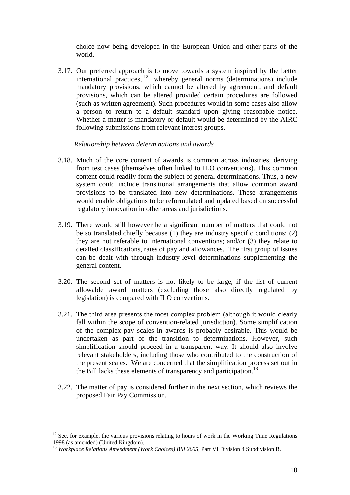choice now being developed in the European Union and other parts of the world.

3.17. Our preferred approach is to move towards a system inspired by the better international practices,  $12$  whereby general norms (determinations) include mandatory provisions, which cannot be altered by agreement, and default provisions, which can be altered provided certain procedures are followed (such as written agreement). Such procedures would in some cases also allow a person to return to a default standard upon giving reasonable notice. Whether a matter is mandatory or default would be determined by the AIRC following submissions from relevant interest groups.

### *Relationship between determinations and awards*

- 3.18. Much of the core content of awards is common across industries, deriving from test cases (themselves often linked to ILO conventions). This common content could readily form the subject of general determinations. Thus, a new system could include transitional arrangements that allow common award provisions to be translated into new determinations. These arrangements would enable obligations to be reformulated and updated based on successful regulatory innovation in other areas and jurisdictions.
- 3.19. There would still however be a significant number of matters that could not be so translated chiefly because (1) they are industry specific conditions; (2) they are not referable to international conventions; and/or (3) they relate to detailed classifications, rates of pay and allowances. The first group of issues can be dealt with through industry-level determinations supplementing the general content.
- 3.20. The second set of matters is not likely to be large, if the list of current allowable award matters (excluding those also directly regulated by legislation) is compared with ILO conventions.
- 3.21. The third area presents the most complex problem (although it would clearly fall within the scope of convention-related jurisdiction). Some simplification of the complex pay scales in awards is probably desirable. This would be undertaken as part of the transition to determinations. However, such simplification should proceed in a transparent way. It should also involve relevant stakeholders, including those who contributed to the construction of the present scales. We are concerned that the simplification process set out in the Bill lacks these elements of transparency and participation.<sup>13</sup>
- 3.22. The matter of pay is considered further in the next section, which reviews the proposed Fair Pay Commission.

 $12$  See, for example, the various provisions relating to hours of work in the Working Time Regulations 1998 (as amended) (United Kingdom).

<sup>&</sup>lt;sup>13</sup> *Workplace Relations Amendment (Work Choices) Bill 2005*, Part VI Division 4 Subdivision B.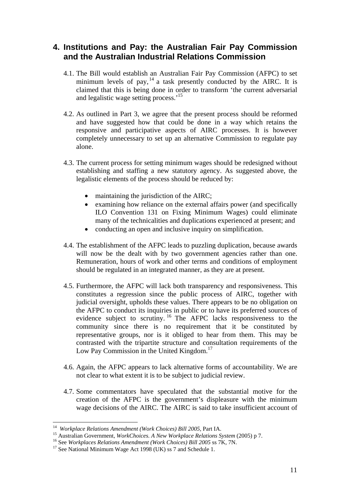# **4. Institutions and Pay: the Australian Fair Pay Commission and the Australian Industrial Relations Commission**

- 4.1. The Bill would establish an Australian Fair Pay Commission (AFPC) to set minimum levels of pay,<sup>14</sup> a task presently conducted by the AIRC. It is claimed that this is being done in order to transform 'the current adversarial and legalistic wage setting process.<sup>15</sup>
- 4.2. As outlined in Part 3, we agree that the present process should be reformed and have suggested how that could be done in a way which retains the responsive and participative aspects of AIRC processes. It is however completely unnecessary to set up an alternative Commission to regulate pay alone.
- 4.3. The current process for setting minimum wages should be redesigned without establishing and staffing a new statutory agency. As suggested above, the legalistic elements of the process should be reduced by:
	- maintaining the jurisdiction of the AIRC;
	- examining how reliance on the external affairs power (and specifically ILO Convention 131 on Fixing Minimum Wages) could eliminate many of the technicalities and duplications experienced at present; and
	- conducting an open and inclusive inquiry on simplification.
- 4.4. The establishment of the AFPC leads to puzzling duplication, because awards will now be the dealt with by two government agencies rather than one. Remuneration, hours of work and other terms and conditions of employment should be regulated in an integrated manner, as they are at present.
- 4.5. Furthermore, the AFPC will lack both transparency and responsiveness. This constitutes a regression since the public process of AIRC, together with judicial oversight, upholds these values. There appears to be no obligation on the AFPC to conduct its inquiries in public or to have its preferred sources of evidence subject to scrutiny. 16 The AFPC lacks responsiveness to the community since there is no requirement that it be constituted by representative groups, nor is it obliged to hear from them. This may be contrasted with the tripartite structure and consultation requirements of the Low Pay Commission in the United Kingdom.<sup>17</sup>
- 4.6. Again, the AFPC appears to lack alternative forms of accountability. We are not clear to what extent it is to be subject to judicial review.
- 4.7. Some commentators have speculated that the substantial motive for the creation of the AFPC is the government's displeasure with the minimum wage decisions of the AIRC. The AIRC is said to take insufficient account of

<sup>&</sup>lt;sup>14</sup> Workplace Relations Amendment (Work Choices) Bill 2005, Part IA.

<sup>&</sup>lt;sup>15</sup> Australian Government, *WorkChoices. A New Workplace Relations System* (2005) p 7.<br><sup>16</sup> See *Workplaces Relations Amendment (Work Choices) Bill 2005* ss 7K, 7N.<br><sup>17</sup> See National Minimum Wage Act 1998 (UK) ss 7 and S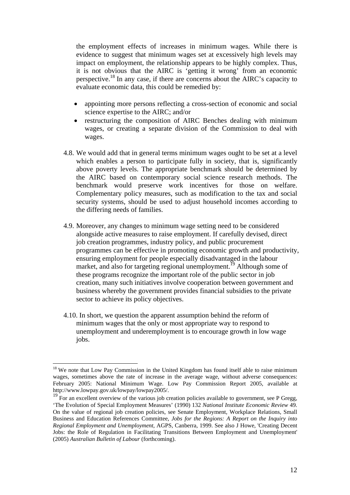the employment effects of increases in minimum wages. While there is evidence to suggest that minimum wages set at excessively high levels may impact on employment, the relationship appears to be highly complex. Thus, it is not obvious that the AIRC is 'getting it wrong' from an economic perspective.18 In any case, if there are concerns about the AIRC's capacity to evaluate economic data, this could be remedied by:

- appointing more persons reflecting a cross-section of economic and social science expertise to the AIRC; and/or
- restructuring the composition of AIRC Benches dealing with minimum wages, or creating a separate division of the Commission to deal with wages.
- 4.8. We would add that in general terms minimum wages ought to be set at a level which enables a person to participate fully in society, that is, significantly above poverty levels. The appropriate benchmark should be determined by the AIRC based on contemporary social science research methods. The benchmark would preserve work incentives for those on welfare. Complementary policy measures, such as modification to the tax and social security systems, should be used to adjust household incomes according to the differing needs of families.
- 4.9. Moreover, any changes to minimum wage setting need to be considered alongside active measures to raise employment. If carefully devised, direct job creation programmes, industry policy, and public procurement programmes can be effective in promoting economic growth and productivity, ensuring employment for people especially disadvantaged in the labour market, and also for targeting regional unemployment.<sup>19</sup> Although some of these programs recognize the important role of the public sector in job creation, many such initiatives involve cooperation between government and business whereby the government provides financial subsidies to the private sector to achieve its policy objectives.
- 4.10. In short, we question the apparent assumption behind the reform of minimum wages that the only or most appropriate way to respond to unemployment and underemployment is to encourage growth in low wage jobs.

<sup>&</sup>lt;sup>18</sup> We note that Low Pay Commission in the United Kingdom has found itself able to raise minimum wages, sometimes above the rate of increase in the average wage, without adverse consequences: February 2005: National Minimum Wage. Low Pay Commission Report 2005, available at http://www.lowpay.gov.uk/lowpay/lowpay2005/.

 $19$  For an excellent overview of the various job creation policies available to government, see P Gregg, 'The Evolution of Special Employment Measures' (1990) 132 *National Institute Economic Review* 49. On the value of regional job creation policies, see Senate Employment, Workplace Relations, Small Business and Education References Committee, *Jobs for the Regions: A Report on the Inquiry into Regional Employment and Unemployment*, AGPS, Canberra, 1999. See also J Howe, 'Creating Decent Jobs: the Role of Regulation in Facilitating Transitions Between Employment and Unemployment' (2005) *Australian Bulletin of Labour* (forthcoming).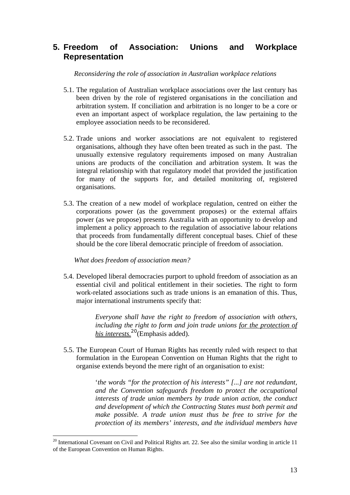# **5. Freedom of Association: Unions and Workplace Representation**

*Reconsidering the role of association in Australian workplace relations* 

- 5.1. The regulation of Australian workplace associations over the last century has been driven by the role of registered organisations in the conciliation and arbitration system. If conciliation and arbitration is no longer to be a core or even an important aspect of workplace regulation, the law pertaining to the employee association needs to be reconsidered.
- 5.2. Trade unions and worker associations are not equivalent to registered organisations, although they have often been treated as such in the past. The unusually extensive regulatory requirements imposed on many Australian unions are products of the conciliation and arbitration system. It was the integral relationship with that regulatory model that provided the justification for many of the supports for, and detailed monitoring of, registered organisations.
- 5.3. The creation of a new model of workplace regulation, centred on either the corporations power (as the government proposes) or the external affairs power (as we propose) presents Australia with an opportunity to develop and implement a policy approach to the regulation of associative labour relations that proceeds from fundamentally different conceptual bases. Chief of these should be the core liberal democratic principle of freedom of association.

*What does freedom of association mean?* 

 $\overline{a}$ 

5.4. Developed liberal democracies purport to uphold freedom of association as an essential civil and political entitlement in their societies. The right to form work-related associations such as trade unions is an emanation of this. Thus, major international instruments specify that:

> *Everyone shall have the right to freedom of association with others, including the right to form and join trade unions for the protection of his interests.<sup>20</sup>*(Emphasis added).

5.5. The European Court of Human Rights has recently ruled with respect to that formulation in the European Convention on Human Rights that the right to organise extends beyond the mere right of an organisation to exist:

> '*the words "for the protection of his interests" [...] are not redundant, and the Convention safeguards freedom to protect the occupational interests of trade union members by trade union action, the conduct and development of which the Contracting States must both permit and make possible. A trade union must thus be free to strive for the protection of its members' interests, and the individual members have*

 $20$  International Covenant on Civil and Political Rights art. 22. See also the similar wording in article 11 of the European Convention on Human Rights.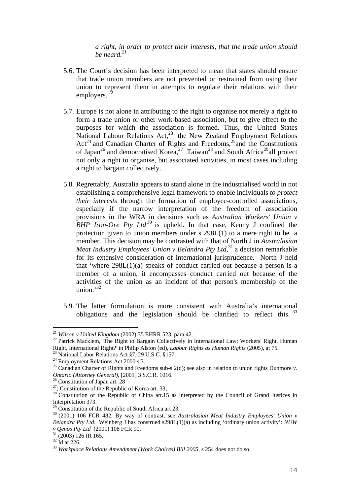*a right, in order to protect their interests, that the trade union should be heard.21*

- 5.6. The Court's decision has been interpreted to mean that states should ensure that trade union members are not prevented or restrained from using their union to represent them in attempts to regulate their relations with their employers. 22
- 5.7. Europe is not alone in attributing to the right to organise not merely a right to form a trade union or other work-based association, but to give effect to the purposes for which the association is formed. Thus, the United States National Labour Relations Act,<sup>23</sup> the New Zealand Employment Relations  $Act<sup>24</sup>$  and Canadian Charter of Rights and Freedoms,<sup>25</sup> and the Constitutions of Japan<sup>26</sup> and democratised Korea,<sup>27</sup> Taiwan<sup>28</sup> and South Africa<sup>29</sup>all protect not only a right to organise, but associated activities, in most cases including a right to bargain collectively.
- 5.8. Regrettably, Australia appears to stand alone in the industrialised world in not establishing a comprehensive legal framework to enable individuals *to protect their interests* through the formation of employee-controlled associations, especially if the narrow interpretation of the freedom of association provisions in the WRA in decisions such as *Australian Workers' Union v BHP Iron-Ore Pty Ltd*<sup>30</sup> is upheld. In that case, Kenny J confined the protection given to union members under s 298L(1) to a mere right to be a member. This decision may be contrasted with that of North J in *Australasian Meat Industry Employees' Union v Belandra Pty Ltd*<sup>31</sup> a decision remarkable for its extensive consideration of international jurisprudence. North J held that 'where  $298L(1)(a)$  speaks of conduct carried out because a person is a member of a union, it encompasses conduct carried out because of the activities of the union as an incident of that person's membership of the union. $^{32}$
- 5.9. The latter formulation is more consistent with Australia's international obligations and the legislation should be clarified to reflect this.<sup>33</sup>

<sup>21</sup> *Wilson v United Kingdom* (2002) 35 EHRR 523, para 42.<br><sup>22</sup> Patrick Macklem, 'The Right to Bargain Collectively in International Law: Workers' Right, Human Right, International Right?' in Philip Alston (ed), *Labour Rights as Human Rights* (2005), at 75. 23 National Labor Relations Act §7, 29 U.S.C. §157.

<sup>&</sup>lt;sup>24</sup> Employment Relations Act 2000 s.3.

<sup>&</sup>lt;sup>25</sup> Canadian Charter of Rights and Freedoms sub-s  $2(d)$ ; see also in relation to union rights Dunmore *v*. *Ontario (Attorney General),* [2001] 3 S.C.R. 1016. 26 Constitution of Japan art. 28

<sup>&</sup>lt;sup>27</sup>; Constitution of the Republic of Korea art. 33;

<sup>&</sup>lt;sup>28</sup> Constitution of the Republic of China art.15 as interpreted by the Council of Grand Justices in Interpretation 373.

 $29$  Constitution of the Republic of South Africa art 23.

<sup>&</sup>lt;sup>30</sup> (2001) 106 FCR 482. By way of contrast, see Australasian Meat Industry Employees' Union v *Belandra Pty Ltd*. Weinberg J has construed s298L(1)(a) as including 'ordinary union activity': *NUW v Qenos Pty Ltd* (2001) 108 FCR 90.<br><sup>31</sup> (2003) 126 IR 165.

 $32$  Id at 226.

<sup>33</sup> *Workplace Relations Amendment (Work Choices) Bill 2005,* s 254 does not do so.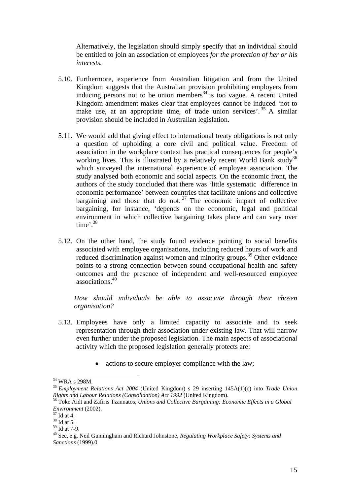Alternatively, the legislation should simply specify that an individual should be entitled to join an association of employees *for the protection of her or his interests.*

- 5.10. Furthermore, experience from Australian litigation and from the United Kingdom suggests that the Australian provision prohibiting employers from inducing persons not to be union members<sup>34</sup> is too vague. A recent United Kingdom amendment makes clear that employees cannot be induced 'not to make use, at an appropriate time, of trade union services'.  $35$  A similar provision should be included in Australian legislation.
- 5.11. We would add that giving effect to international treaty obligations is not only a question of upholding a core civil and political value. Freedom of association in the workplace context has practical consequences for people's working lives. This is illustrated by a relatively recent World Bank study<sup>36</sup> which surveyed the international experience of employee association. The study analysed both economic and social aspects. On the economic front, the authors of the study concluded that there was 'little systematic difference in economic performance' between countries that facilitate unions and collective bargaining and those that do not.<sup>37</sup> The economic impact of collective bargaining, for instance, 'depends on the economic, legal and political environment in which collective bargaining takes place and can vary over time'.38
- 5.12. On the other hand, the study found evidence pointing to social benefits associated with employee organisations, including reduced hours of work and reduced discrimination against women and minority groups.<sup>39</sup> Other evidence points to a strong connection between sound occupational health and safety outcomes and the presence of independent and well-resourced employee associations.40

*How should individuals be able to associate through their chosen organisation?* 

- 5.13. Employees have only a limited capacity to associate and to seek representation through their association under existing law. That will narrow even further under the proposed legislation. The main aspects of associational activity which the proposed legislation generally protects are:
	- actions to secure employer compliance with the law;

 $^{34}$  WRA s 298M.

<sup>35</sup> *Employment Relations Act 2004* (United Kingdom) s 29 inserting 145A(1)(c) into *Trade Union* 

<sup>&</sup>lt;sup>36</sup> Toke Aidt and Zafiris Tzannatos, *Unions and Collective Bargaining: Economic Effects in a Global Environment* (2002). 37 Id at 4.

 $38$  Id at 5.

 $39$  Id at 7-9.

<sup>40</sup> See, e.g. Neil Gunningham and Richard Johnstone, *Regulating Workplace Safety: Systems and Sanctions* (1999).0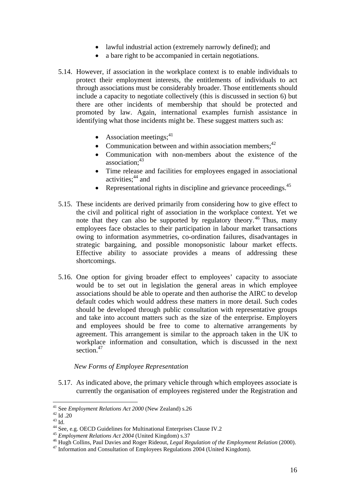- lawful industrial action (extremely narrowly defined); and
- a bare right to be accompanied in certain negotiations.
- 5.14. However, if association in the workplace context is to enable individuals to protect their employment interests, the entitlements of individuals to act through associations must be considerably broader. Those entitlements should include a capacity to negotiate collectively (this is discussed in section 6) but there are other incidents of membership that should be protected and promoted by law. Again, international examples furnish assistance in identifying what those incidents might be. These suggest matters such as:
	- Association meetings; $41$
	- Communication between and within association members;  $42$
	- Communication with non-members about the existence of the association:<sup>43</sup>
	- Time release and facilities for employees engaged in associational activities: $44$  and
	- Representational rights in discipline and grievance proceedings.  $45$
- 5.15. These incidents are derived primarily from considering how to give effect to the civil and political right of association in the workplace context. Yet we note that they can also be supported by regulatory theory.<sup>46</sup> Thus, many employees face obstacles to their participation in labour market transactions owing to information asymmetries, co-ordination failures, disadvantages in strategic bargaining, and possible monopsonistic labour market effects. Effective ability to associate provides a means of addressing these shortcomings.
- 5.16. One option for giving broader effect to employees' capacity to associate would be to set out in legislation the general areas in which employee associations should be able to operate and then authorise the AIRC to develop default codes which would address these matters in more detail. Such codes should be developed through public consultation with representative groups and take into account matters such as the size of the enterprise. Employers and employees should be free to come to alternative arrangements by agreement. This arrangement is similar to the approach taken in the UK to workplace information and consultation, which is discussed in the next section.<sup>47</sup>

### *New Forms of Employee Representation*

5.17. As indicated above, the primary vehicle through which employees associate is currently the organisation of employees registered under the Registration and

<sup>&</sup>lt;sup>41</sup> See *Employment Relations Act 2000* (New Zealand) s.26<sup>42</sup> Id .20

<sup>42</sup> Id. 20<br>
<sup>43</sup> Id.<br>
<sup>44</sup> See, e.g. OECD Guidelines for Multinational Enterprises Clause IV.2

<sup>&</sup>lt;sup>45</sup> Employment Relations Act 2004 (United Kingdom) s.37<br><sup>46</sup> Hugh Collins, Paul Davies and Roger Rideout, *Legal Regulation of the Employment Relation* (2000).<br><sup>47</sup> Information and Consultation of Employees Regulations 2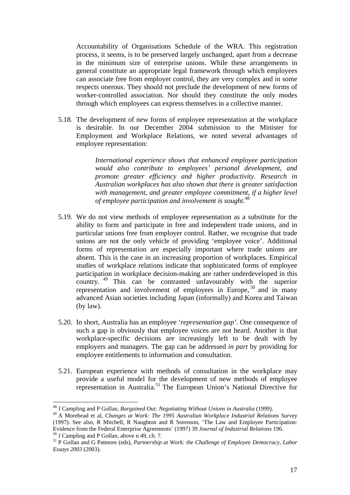Accountability of Organisations Schedule of the WRA. This registration process, it seems, is to be preserved largely unchanged, apart from a decrease in the minimum size of enterprise unions. While these arrangements in general constitute an appropriate legal framework through which employees can associate free from employer control, they are very complex and in some respects onerous. They should not preclude the development of new forms of worker-controlled association. Nor should they constitute the only modes through which employees can express themselves in a collective manner.

5.18. The development of new forms of employee representation at the workplace is desirable. In our December 2004 submission to the Minister for Employment and Workplace Relations, we noted several advantages of employee representation:

> *International experience shows that enhanced employee participation would also contribute to employees' personal development, and promote greater efficiency and higher productivity. Research in Australian workplaces has also shown that there is greater satisfaction with management, and greater employee commitment, if a higher level of employee participation and involvement is sought.*<sup>48</sup>

- 5.19. We do not view methods of employee representation as a substitute for the ability to form and participate in free and independent trade unions, and in particular unions free from employer control. Rather, we recognise that trade unions are not the only vehicle of providing 'employee voice'. Additional forms of representation are especially important where trade unions are absent. This is the case in an increasing proportion of workplaces. Empirical studies of workplace relations indicate that sophisticated forms of employee participation in workplace decision-making are rather underdeveloped in this country.<sup>49</sup> This can be contrasted unfavourably with the superior representation and involvement of employees in Europe,  $50$  and in many advanced Asian societies including Japan (informally) and Korea and Taiwan (by law).
- 5.20. In short, Australia has an employee '*representation gap'*. One consequence of such a gap is obviously that employee voices are not heard. Another is that workplace-specific decisions are increasingly left to be dealt with by employers and managers. The gap can be addressed *in part* by providing for employee entitlements to information and consultation.
- 5.21. European experience with methods of consultation in the workplace may provide a useful model for the development of new methods of employee representation in Australia.51 The European Union's National Directive for

<sup>48</sup> J Campling and P Gollan, *Bargained Out: Negotiating Without Unions in Australia* (1999).

<sup>49</sup> A Morehead et al, *Changes at Work: The 1995 Australian Workplace Industrial Relations Survey* (1997). See also, R Mitchell, R Naughton and R Sorenson, 'The Law and Employee Participation: Evidence from the Federal Enterprise Agreements' (1997) 39 *Journal of Industrial Relations* 196. 50 J Campling and P Gollan, above n 49, ch. 7.

<sup>51</sup> P Gollan and G Patmore (eds), *Partnership at Work: the Challenge of Employee Democracy, Labor Essays 2003* (2003).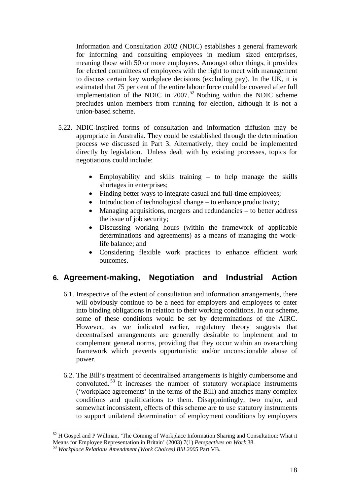Information and Consultation 2002 (NDIC) establishes a general framework for informing and consulting employees in medium sized enterprises, meaning those with 50 or more employees. Amongst other things, it provides for elected committees of employees with the right to meet with management to discuss certain key workplace decisions (excluding pay). In the UK, it is estimated that 75 per cent of the entire labour force could be covered after full implementation of the NDIC in  $2007$ .<sup>52</sup> Nothing within the NDIC scheme precludes union members from running for election, although it is not a union-based scheme.

- 5.22. NDIC-inspired forms of consultation and information diffusion may be appropriate in Australia. They could be established through the determination process we discussed in Part 3. Alternatively, they could be implemented directly by legislation. Unless dealt with by existing processes, topics for negotiations could include:
	- Employability and skills training to help manage the skills shortages in enterprises;
	- Finding better ways to integrate casual and full-time employees;
	- Introduction of technological change to enhance productivity;
	- Managing acquisitions, mergers and redundancies to better address the issue of job security;
	- Discussing working hours (within the framework of applicable determinations and agreements) as a means of managing the worklife balance; and
	- Considering flexible work practices to enhance efficient work outcomes.

## **6. Agreement-making, Negotiation and Industrial Action**

- 6.1. Irrespective of the extent of consultation and information arrangements, there will obviously continue to be a need for employers and employees to enter into binding obligations in relation to their working conditions. In our scheme, some of these conditions would be set by determinations of the AIRC. However, as we indicated earlier, regulatory theory suggests that decentralised arrangements are generally desirable to implement and to complement general norms, providing that they occur within an overarching framework which prevents opportunistic and/or unconscionable abuse of power.
- 6.2. The Bill's treatment of decentralised arrangements is highly cumbersome and convoluted.<sup>53</sup> It increases the number of statutory workplace instruments ('workplace agreements' in the terms of the Bill) and attaches many complex conditions and qualifications to them. Disappointingly, two major, and somewhat inconsistent, effects of this scheme are to use statutory instruments to support unilateral determination of employment conditions by employers

 $52$  H Gospel and P Willman, 'The Coming of Workplace Information Sharing and Consultation: What it Means for Employee Representation in Britain' (2003) 7(1) *Perspectives on Work* 38. 53 *Workplace Relations Amendment (Work Choices) Bill 2005* Part VB.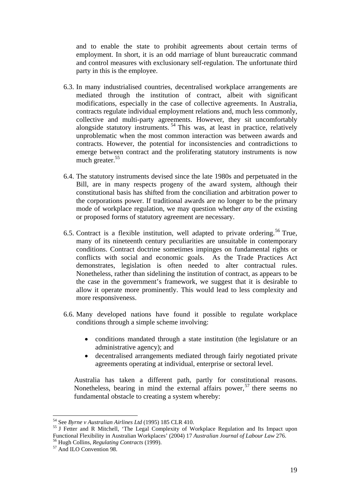and to enable the state to prohibit agreements about certain terms of employment. In short, it is an odd marriage of blunt bureaucratic command and control measures with exclusionary self-regulation. The unfortunate third party in this is the employee.

- 6.3. In many industrialised countries, decentralised workplace arrangements are mediated through the institution of contract, albeit with significant modifications, especially in the case of collective agreements. In Australia, contracts regulate individual employment relations and, much less commonly, collective and multi-party agreements. However, they sit uncomfortably alongside statutory instruments.  $54$  This was, at least in practice, relatively unproblematic when the most common interaction was between awards and contracts. However, the potential for inconsistencies and contradictions to emerge between contract and the proliferating statutory instruments is now much greater.<sup>55</sup>
- 6.4. The statutory instruments devised since the late 1980s and perpetuated in the Bill, are in many respects progeny of the award system, although their constitutional basis has shifted from the conciliation and arbitration power to the corporations power. If traditional awards are no longer to be the primary mode of workplace regulation, we may question whether *any* of the existing or proposed forms of statutory agreement are necessary.
- 6.5. Contract is a flexible institution, well adapted to private ordering.<sup>56</sup> True, many of its nineteenth century peculiarities are unsuitable in contemporary conditions. Contract doctrine sometimes impinges on fundamental rights or conflicts with social and economic goals. As the Trade Practices Act demonstrates, legislation is often needed to alter contractual rules. Nonetheless, rather than sidelining the institution of contract, as appears to be the case in the government's framework, we suggest that it is desirable to allow it operate more prominently. This would lead to less complexity and more responsiveness.
- 6.6. Many developed nations have found it possible to regulate workplace conditions through a simple scheme involving:
	- conditions mandated through a state institution (the legislature or an administrative agency); and
	- decentralised arrangements mediated through fairly negotiated private agreements operating at individual, enterprise or sectoral level.

Australia has taken a different path, partly for constitutional reasons. Nonetheless, bearing in mind the external affairs power,  $57$  there seems no fundamental obstacle to creating a system whereby:

<sup>&</sup>lt;sup>54</sup> See *Byrne v Australian Airlines Ltd* (1995) 185 CLR 410.

<sup>&</sup>lt;sup>55</sup> J Fetter and R Mitchell, 'The Legal Complexity of Workplace Regulation and Its Impact upon Functional Flexibility in Australian Workplaces' (2004) 17 *Australian Journal of Labour Law* 276.<br><sup>56</sup> Hugh Collins, *Regulating Contracts* (1999).<br><sup>57</sup> And ILO Convention 98.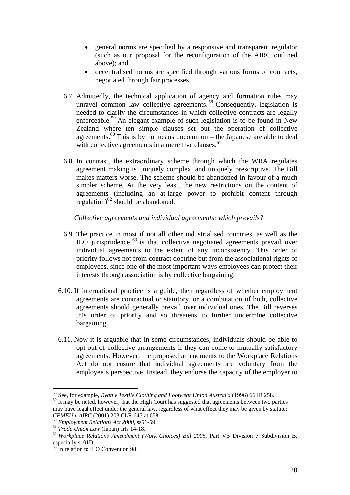- general norms are specified by a responsive and transparent regulator (such as our proposal for the reconfiguration of the AIRC outlined above); and
- decentralised norms are specified through various forms of contracts, negotiated through fair processes.
- 6.7. Admittedly, the technical application of agency and formation rules may unravel common law collective agreements.  $58$  Consequently, legislation is needed to clarify the circumstances in which collective contracts are legally enforceable.59 An elegant example of such legislation is to be found in New Zealand where ten simple clauses set out the operation of collective agreements.<sup>60</sup> This is by no means uncommon – the Japanese are able to deal with collective agreements in a mere five clauses.<sup>61</sup>
- 6.8. In contrast, the extraordinary scheme through which the WRA regulates agreement making is uniquely complex, and uniquely prescriptive. The Bill makes matters worse. The scheme should be abandoned in favour of a much simpler scheme. At the very least, the new restrictions on the content of agreements (including an at-large power to prohibit content through regulation) $62$  should be abandoned.

*Collective agreements and individual agreements: which prevails?* 

- 6.9. The practice in most if not all other industrialised countries, as well as the  $\rm ILO$  jurisprudence,  $^{63}$  is that collective negotiated agreements prevail over individual agreements to the extent of any inconsistency. This order of priority follows not from contract doctrine but from the associational rights of employees, since one of the most important ways employees can protect their interests through association is by collective bargaining.
- 6.10. If international practice is a guide, then regardless of whether employment agreements are contractual or statutory, or a combination of both, collective agreements should generally prevail over individual ones. The Bill reverses this order of priority and so threatens to further undermine collective bargaining.
- 6.11. Now it is arguable that in some circumstances, individuals should be able to opt out of collective arrangements if they can come to mutually satisfactory agreements. However, the proposed amendments to the Workplace Relations Act do not ensure that individual agreements are voluntary from the employee's perspective. Instead, they endorse the capacity of the employer to

 $\overline{a}$ 58 See, for example, *Ryan v Textile Clothing and Footwear Union Australia* (1996) 66 IR 258.

<sup>&</sup>lt;sup>59</sup> It may be noted, however, that the High Court has suggested that agreements between two parties may have legal effect under the general law, regardless of what effect they may be given by statute: CFMEU v AIRC (2001) 203 CLR 645 at 658.<br>
<sup>60</sup> Employment Relations Act 2000, ss51-59.<br>
<sup>61</sup> Trade Union Law (Japan) arts 14-18.<br>
<sup>62</sup> Workplace Relations Amendment (Work Choices) Bill 2005. Part VB Division 7 Subdivision

especially s101D.

<sup>&</sup>lt;sup>63</sup> In relation to ILO Convention 98.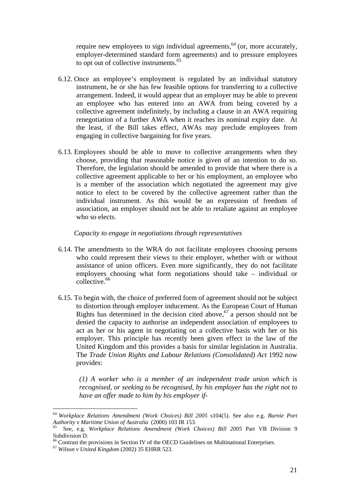require new employees to sign individual agreements,  $64$  (or, more accurately, employer-determined standard form agreements) and to pressure employees to opt out of collective instruments.<sup>65</sup>

- 6.12. Once an employee's employment is regulated by an individual statutory instrument, he or she has few feasible options for transferring to a collective arrangement. Indeed, it would appear that an employer may be able to prevent an employee who has entered into an AWA from being covered by a collective agreement indefinitely, by including a clause in an AWA requiring renegotiation of a further AWA when it reaches its nominal expiry date. At the least, if the Bill takes effect, AWAs may preclude employees from engaging in collective bargaining for five years.
- 6.13. Employees should be able to move to collective arrangements when they choose, providing that reasonable notice is given of an intention to do so. Therefore, the legislation should be amended to provide that where there is a collective agreement applicable to her or his employment, an employee who is a member of the association which negotiated the agreement may give notice to elect to be covered by the collective agreement rather than the individual instrument. As this would be an expression of freedom of association, an employer should not be able to retaliate against an employee who so elects.

### *Capacity to engage in negotiations through representatives*

- 6.14. The amendments to the WRA do not facilitate employees choosing persons who could represent their views to their employer, whether with or without assistance of union officers. Even more significantly, they do not facilitate employees choosing what form negotiations should take – individual or collective.<sup>66</sup>
- 6.15. To begin with, the choice of preferred form of agreement should not be subject to distortion through employer inducement. As the European Court of Human Rights has determined in the decision cited above,  $67$  a person should not be denied the capacity to authorise an independent association of employees to act as her or his agent in negotiating on a collective basis with her or his employer. This principle has recently been given effect in the law of the United Kingdom and this provides a basis for similar legislation in Australia. The *Trade Union Rights and Labour Relations (Consolidated) Act* 1992 now provides:

*(1) A worker who is a member of an independent trade union which is recognised, or seeking to be recognised, by his employer has the right not to have an offer made to him by his employer if-* 

<sup>64</sup> *Workplace Relations Amendment (Work Choices) Bill 2005* s104(5). See also e.g. *Burnie Port Authority v Maritime Union of Australia* (2000) 103 IR 153. 65 See, e.g. *Workplace Relations Amendment (Work Choices) Bill 2005* Part VB Division 9

Subdivision D.

<sup>66</sup> Contrast the provisions in Section IV of the OECD Guidelines on Multinational Enterprises. 67 *Wilson v United Kingdom* (2002) 35 EHRR 523.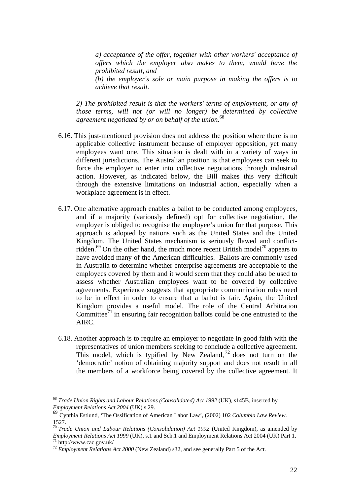*a) acceptance of the offer, together with other workers' acceptance of offers which the employer also makes to them, would have the prohibited result, and (b) the employer's sole or main purpose in making the offers is to achieve that result.* 

*2) The prohibited result is that the workers' terms of employment, or any of those terms, will not (or will no longer) be determined by collective agreement negotiated by or on behalf of the union.*<sup>68</sup>

- 6.16. This just-mentioned provision does not address the position where there is no applicable collective instrument because of employer opposition, yet many employees want one. This situation is dealt with in a variety of ways in different jurisdictions. The Australian position is that employees can seek to force the employer to enter into collective negotiations through industrial action. However, as indicated below, the Bill makes this very difficult through the extensive limitations on industrial action, especially when a workplace agreement is in effect.
- 6.17. One alternative approach enables a ballot to be conducted among employees, and if a majority (variously defined) opt for collective negotiation, the employer is obliged to recognise the employee's union for that purpose. This approach is adopted by nations such as the United States and the United Kingdom. The United States mechanism is seriously flawed and conflictridden.<sup>69</sup> On the other hand, the much more recent British model<sup>70</sup> appears to have avoided many of the American difficulties. Ballots are commonly used in Australia to determine whether enterprise agreements are acceptable to the employees covered by them and it would seem that they could also be used to assess whether Australian employees want to be covered by collective agreements. Experience suggests that appropriate communication rules need to be in effect in order to ensure that a ballot is fair. Again, the United Kingdom provides a useful model. The role of the Central Arbitration Committee<sup>71</sup> in ensuring fair recognition ballots could be one entrusted to the AIRC.
- 6.18. Another approach is to require an employer to negotiate in good faith with the representatives of union members seeking to conclude a collective agreement. This model, which is typified by New Zealand,  $72$  does not turn on the 'democratic' notion of obtaining majority support and does not result in all the members of a workforce being covered by the collective agreement. It

<sup>68</sup> *Trade Union Rights and Labour Relations (Consolidated) Act 1992* (UK), s145B, inserted by *Employment Relations Act 2004* (UK) s 29.

<sup>69</sup> Cynthia Estlund, 'The Ossification of American Labor Law', (2002) 102 *Columbia Law Review*. 1527.

<sup>70</sup> *Trade Union and Labour Relations (Consolidation) Act 1992* (United Kingdom), as amended by *Employment Relations Act 1999* (UK), s.1 and Sch.1 and Employment Relations Act 2004 (UK) Part 1. <sup>71</sup> http://www.cac.gov.uk/

<sup>72</sup> *Employment Relations Act 2000* (New Zealand) s32, and see generally Part 5 of the Act.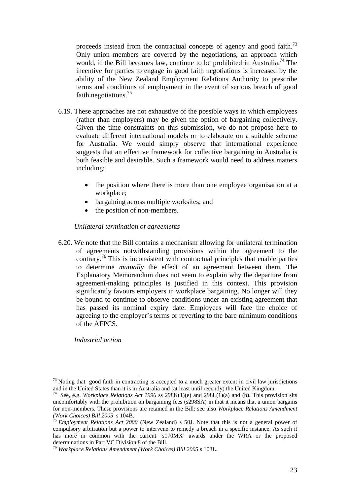proceeds instead from the contractual concepts of agency and good faith.<sup>73</sup> Only union members are covered by the negotiations, an approach which would, if the Bill becomes law, continue to be prohibited in Australia.<sup>74</sup> The incentive for parties to engage in good faith negotiations is increased by the ability of the New Zealand Employment Relations Authority to prescribe terms and conditions of employment in the event of serious breach of good faith negotiations.<sup>75</sup>

- 6.19. These approaches are not exhaustive of the possible ways in which employees (rather than employers) may be given the option of bargaining collectively. Given the time constraints on this submission, we do not propose here to evaluate different international models or to elaborate on a suitable scheme for Australia. We would simply observe that international experience suggests that an effective framework for collective bargaining in Australia is both feasible and desirable. Such a framework would need to address matters including:
	- the position where there is more than one employee organisation at a workplace;
	- bargaining across multiple worksites; and
	- the position of non-members.

#### *Unilateral termination of agreements*

6.20. We note that the Bill contains a mechanism allowing for unilateral termination of agreements notwithstanding provisions within the agreement to the contrary.76 This is inconsistent with contractual principles that enable parties to determine *mutually* the effect of an agreement between them. The Explanatory Memorandum does not seem to explain why the departure from agreement-making principles is justified in this context. This provision significantly favours employers in workplace bargaining. No longer will they be bound to continue to observe conditions under an existing agreement that has passed its nominal expiry date. Employees will face the choice of agreeing to the employer's terms or reverting to the bare minimum conditions of the AFPCS.

*Industrial action* 

 $73$  Noting that good faith in contracting is accepted to a much greater extent in civil law jurisdictions and in the United States than it is in Australia and (at least until recently) the United Kingdom.<br><sup>74</sup> See, e.g. *Workplace Relations Act 1996* ss 298K(1)(e) and 298L(1)(a) and (b). This provision sits

uncomfortably with the prohibition on bargaining fees (s298SA) in that it means that a union bargains for non-members. These provisions are retained in the Bill: see also *Workplace Relations Amendment (Work Choices) Bill 2005* s 104B. 75 *Employment Relations Act 2000* (New Zealand) s 50J. Note that this is not a general power of

compulsory arbitration but a power to intervene to remedy a breach in a specific instance. As such it has more in common with the current 's170MX' awards under the WRA or the proposed determinations in Part VC Division 8 of the Bill.

<sup>76</sup> *Workplace Relations Amendment (Work Choices) Bill 2005* s 103L.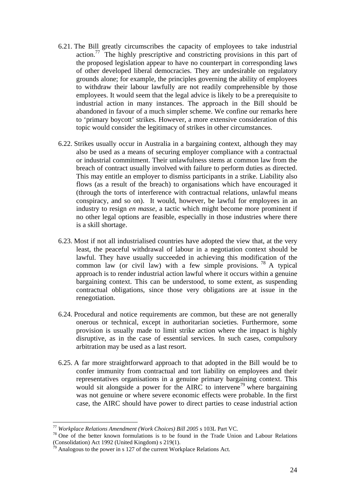- 6.21. The Bill greatly circumscribes the capacity of employees to take industrial action.<sup>77</sup> The highly prescriptive and constricting provisions in this part of the proposed legislation appear to have no counterpart in corresponding laws of other developed liberal democracies. They are undesirable on regulatory grounds alone; for example, the principles governing the ability of employees to withdraw their labour lawfully are not readily comprehensible by those employees. It would seem that the legal advice is likely to be a prerequisite to industrial action in many instances. The approach in the Bill should be abandoned in favour of a much simpler scheme. We confine our remarks here to 'primary boycott' strikes. However, a more extensive consideration of this topic would consider the legitimacy of strikes in other circumstances.
- 6.22. Strikes usually occur in Australia in a bargaining context, although they may also be used as a means of securing employer compliance with a contractual or industrial commitment. Their unlawfulness stems at common law from the breach of contract usually involved with failure to perform duties as directed. This may entitle an employer to dismiss participants in a strike. Liability also flows (as a result of the breach) to organisations which have encouraged it (through the torts of interference with contractual relations, unlawful means conspiracy, and so on). It would, however, be lawful for employees in an industry to resign *en masse,* a tactic which might become more prominent if no other legal options are feasible, especially in those industries where there is a skill shortage.
- 6.23. Most if not all industrialised countries have adopted the view that, at the very least, the peaceful withdrawal of labour in a negotiation context should be lawful. They have usually succeeded in achieving this modification of the common law (or civil law) with a few simple provisions. <sup>78</sup> A typical approach is to render industrial action lawful where it occurs within a genuine bargaining context. This can be understood, to some extent, as suspending contractual obligations, since those very obligations are at issue in the renegotiation.
- 6.24. Procedural and notice requirements are common, but these are not generally onerous or technical, except in authoritarian societies. Furthermore, some provision is usually made to limit strike action where the impact is highly disruptive, as in the case of essential services. In such cases, compulsory arbitration may be used as a last resort.
- 6.25. A far more straightforward approach to that adopted in the Bill would be to confer immunity from contractual and tort liability on employees and their representatives organisations in a genuine primary bargaining context. This would sit alongside a power for the AIRC to intervene<sup>79</sup> where bargaining was not genuine or where severe economic effects were probable. In the first case, the AIRC should have power to direct parties to cease industrial action

<sup>&</sup>lt;sup>77</sup> *Workplace Relations Amendment (Work Choices) Bill 2005* s 103L Part VC.<br><sup>78</sup> One of the better known formulations is to be found in the Trade Union and Labour Relations (Consolidation) Act 1992 (United Kingdom) s 219(1).

 $^{79}$  Analogous to the power in s 127 of the current Workplace Relations Act.